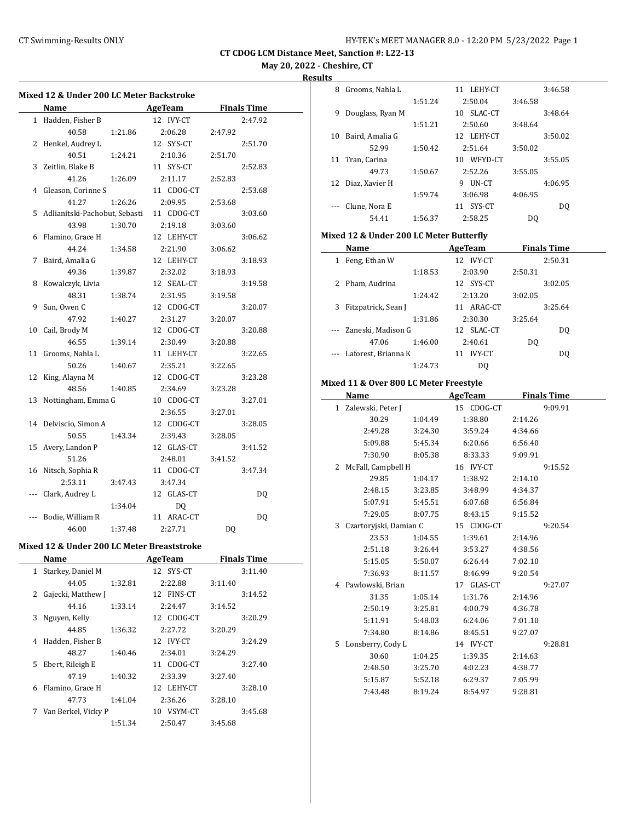**CT CDOG LCM Distance Meet, Sanction #: L22-13**

**May 20, 2022 - Cheshire, CT**

**Results**

| <b>Mixed 12 &amp; Under 200 LC Meter Backstroke</b> |                                 |         |                |         |                    |  |
|-----------------------------------------------------|---------------------------------|---------|----------------|---------|--------------------|--|
|                                                     | Name                            |         | AgeTeam        |         | <b>Finals Time</b> |  |
|                                                     | 1 Hadden, Fisher B              |         | 12 IVY-CT      |         | 2:47.92            |  |
|                                                     | 40.58                           | 1:21.86 | 2:06.28        | 2:47.92 |                    |  |
| 2                                                   | Henkel, Audrey L                |         | 12 SYS-CT      |         | 2:51.70            |  |
|                                                     | 40.51                           | 1:24.21 | 2:10.36        | 2:51.70 |                    |  |
| 3                                                   | Zeitlin, Blake B                |         | 11 SYS-CT      |         | 2:52.83            |  |
|                                                     | 41.26                           | 1:26.09 | 2:11.17        | 2:52.83 |                    |  |
| 4                                                   | Gleason, Corinne S              |         | 11 CDOG-CT     |         | 2:53.68            |  |
|                                                     | 41.27                           | 1:26.26 | 2:09.95        | 2:53.68 |                    |  |
|                                                     | 5 Adlianitski-Pachobut, Sebasti |         | 11 CDOG-CT     |         | 3:03.60            |  |
|                                                     | 43.98                           | 1:30.70 | 2:19.18        | 3:03.60 |                    |  |
|                                                     | 6 Flamino, Grace H              |         | 12 LEHY-CT     |         | 3:06.62            |  |
|                                                     | 44.24                           | 1:34.58 | 2:21.90        | 3:06.62 |                    |  |
| 7                                                   | Baird, Amalia G                 |         | 12 LEHY-CT     |         | 3:18.93            |  |
|                                                     | 49.36                           | 1:39.87 | 2:32.02        | 3:18.93 |                    |  |
| 8                                                   | Kowalczyk, Livia                |         | 12 SEAL-CT     |         | 3:19.58            |  |
|                                                     | 48.31                           | 1:38.74 | 2:31.95        | 3:19.58 |                    |  |
| 9                                                   | Sun, Owen C                     |         | 12 CDOG-CT     |         | 3:20.07            |  |
|                                                     | 47.92                           | 1:40.27 | 2:31.27        | 3:20.07 |                    |  |
| 10                                                  | Cail, Brody M                   |         | 12 CDOG-CT     |         | 3:20.88            |  |
|                                                     | 46.55                           |         | 2:30.49        |         |                    |  |
| 11                                                  | Grooms, Nahla L                 | 1:39.14 |                | 3:20.88 |                    |  |
|                                                     |                                 |         | 11 LEHY-CT     |         | 3:22.65            |  |
|                                                     | 50.26                           | 1:40.67 | 2:35.21        | 3:22.65 |                    |  |
| 12                                                  | King, Alayna M                  |         | 12 CDOG-CT     |         | 3:23.28            |  |
|                                                     | 48.56                           | 1:40.85 | 2:34.69        | 3:23.28 |                    |  |
| 13                                                  | Nottingham, Emma G              |         | 10 CDOG-CT     |         | 3:27.01            |  |
|                                                     |                                 |         | 2:36.55        | 3:27.01 |                    |  |
|                                                     | 14 Delviscio, Simon A           |         | 12 CDOG-CT     |         | 3:28.05            |  |
|                                                     | 50.55                           | 1:43.34 | 2:39.43        | 3:28.05 |                    |  |
|                                                     | 15 Avery, Landon P              |         | 12 GLAS-CT     |         | 3:41.52            |  |
|                                                     | 51.26                           |         | 2:48.01        | 3:41.52 |                    |  |
| 16                                                  | Nitsch, Sophia R                |         | 11 CDOG-CT     |         | 3:47.34            |  |
|                                                     | 2:53.11                         | 3:47.43 | 3:47.34        |         |                    |  |
|                                                     | Clark, Audrey L                 |         | 12 GLAS-CT     |         | DQ                 |  |
|                                                     |                                 | 1:34.04 | DQ             |         |                    |  |
|                                                     | Bodie, William R                |         | 11 ARAC-CT     |         | DQ                 |  |
|                                                     | 46.00                           | 1:37.48 | 2:27.71        | DQ      |                    |  |
| Mixed 12 & Under 200 LC Meter Breaststroke          |                                 |         |                |         |                    |  |
|                                                     | <b>Name</b>                     |         | <b>AgeTeam</b> |         | <b>Finals Time</b> |  |
| $\mathbf{1}$                                        | Starkey, Daniel M               |         | 12 SYS-CT      |         | 3:11.40            |  |
|                                                     | 44.05                           | 1:32.81 | 2:22.88        | 3:11.40 |                    |  |
| 2                                                   | Gajecki, Matthew J              |         | 12 FINS-CT     |         | 3:14.52            |  |
|                                                     | 44.16                           | 1:33.14 | 2:24.47        | 3:14.52 |                    |  |
| 3                                                   | Nguyen, Kelly                   |         | 12 CDOG-CT     |         | 3:20.29            |  |
|                                                     | 44.85                           | 1:36.32 | 2:27.72        | 3:20.29 |                    |  |
| 4                                                   | Hadden, Fisher B                |         | 12 IVY-CT      |         | 3:24.29            |  |
|                                                     | 48.27                           | 1:40.46 | 2:34.01        | 3:24.29 |                    |  |
| 5                                                   | Ebert, Rileigh E                |         | 11 CDOG-CT     |         | 3:27.40            |  |
|                                                     | 47.19                           | 1:40.32 | 2:33.39        | 3:27.40 |                    |  |
| 6                                                   | Flamino, Grace H                |         | 12 LEHY-CT     |         | 3:28.10            |  |
|                                                     | 47.73                           | 1:41.04 | 2:36.26        | 3:28.10 |                    |  |
|                                                     | 7 Van Berkel, Vicky P           |         | 10 VSYM-CT     |         | 3:45.68            |  |

1:51.34 2:50.47 3:45.68

| 8  | Grooms, Nahla L  |         | 11 LEHY-CT    |         | 3:46.58 |
|----|------------------|---------|---------------|---------|---------|
|    |                  | 1:51.24 | 2:50.04       | 3:46.58 |         |
| 9  | Douglass, Ryan M |         | SLAC-CT<br>10 |         | 3:48.64 |
|    |                  | 1:51.21 | 2:50.60       | 3:48.64 |         |
| 10 | Baird. Amalia G  |         | 12 LEHY-CT    |         | 3:50.02 |
|    | 52.99            | 1:50.42 | 2:51.64       | 3:50.02 |         |
| 11 | Tran, Carina     |         | WFYD-CT<br>10 |         | 3:55.05 |
|    | 49.73            | 1:50.67 | 2:52.26       | 3:55.05 |         |
| 12 | Diaz. Xavier H   |         | UN-CT<br>9    |         | 4:06.95 |
|    |                  | 1:59.74 | 3:06.98       | 4:06.95 |         |
|    | Clune, Nora E    |         | SYS-CT<br>11  |         | DO.     |
|    | 54.41            | 1:56.37 | 2:58.25       | DO.     |         |

#### **Mixed 12 & Under 200 LC Meter Butterfly**

|   | Name                    |         | AgeTeam             |         | <b>Finals Time</b> |
|---|-------------------------|---------|---------------------|---------|--------------------|
| 1 | Feng, Ethan W           |         | IVY-CT<br>12        |         | 2:50.31            |
|   |                         | 1:18.53 | 2:03.90             | 2:50.31 |                    |
| 2 | Pham, Audrina           |         | 12 SYS-CT           |         | 3:02.05            |
|   |                         | 1:24.42 | 2:13.20             | 3:02.05 |                    |
| 3 | Fitzpatrick, Sean J     |         | 11 ARAC-CT          |         | 3:25.64            |
|   |                         | 1:31.86 | 2:30.30             | 3:25.64 |                    |
|   | --- Zaneski, Madison G  |         | 12 SLAC-CT          |         | DO.                |
|   | 47.06                   | 1:46.00 | 2:40.61             | DO.     |                    |
|   | --- Laforest, Brianna K |         | <b>IVY-CT</b><br>11 |         | DO                 |
|   |                         | 1:24.73 | DO.                 |         |                    |

## **Mixed 11 & Over 800 LC Meter Freestyle**

|   | Name                   |         | <b>AgeTeam</b> |         | <b>Finals Time</b> |
|---|------------------------|---------|----------------|---------|--------------------|
|   | 1 Zalewski, Peter J    |         | 15 CDOG-CT     |         | 9:09.91            |
|   | 30.29                  | 1:04.49 | 1:38.80        | 2:14.26 |                    |
|   | 2:49.28                | 3:24.30 | 3:59.24        | 4:34.66 |                    |
|   | 5:09.88                | 5:45.34 | 6:20.66        | 6:56.40 |                    |
|   | 7:30.90                | 8:05.38 | 8:33.33        | 9:09.91 |                    |
| 2 | McFall, Campbell H     |         | 16 IVY-CT      |         | 9:15.52            |
|   | 29.85                  | 1:04.17 | 1:38.92        | 2:14.10 |                    |
|   | 2:48.15                | 3:23.85 | 3:48.99        | 4:34.37 |                    |
|   | 5:07.91                | 5:45.51 | 6:07.68        | 6:56.84 |                    |
|   | 7:29.05                | 8:07.75 | 8:43.15        | 9:15.52 |                    |
| 3 | Czartoryjski, Damian C |         | 15 CDOG-CT     |         | 9:20.54            |
|   | 23.53                  | 1:04.55 | 1:39.61        | 2:14.96 |                    |
|   | 2:51.18                | 3:26.44 | 3:53.27        | 4:38.56 |                    |
|   | 5:15.05                | 5:50.07 | 6:26.44        | 7:02.10 |                    |
|   | 7:36.93                | 8:11.57 | 8:46.99        | 9:20.54 |                    |
|   | 4 Pawlowski, Brian     |         | 17 GLAS-CT     |         | 9:27.07            |
|   | 31.35                  | 1:05.14 | 1:31.76        | 2:14.96 |                    |
|   | 2:50.19                | 3:25.81 | 4:00.79        | 4:36.78 |                    |
|   | 5:11.91                | 5:48.03 | 6:24.06        | 7:01.10 |                    |
|   | 7:34.80                | 8:14.86 | 8:45.51        | 9:27.07 |                    |
| 5 | Lonsberry, Cody L      |         | 14 IVY-CT      |         | 9:28.81            |
|   | 30.60                  | 1:04.25 | 1:39.35        | 2:14.63 |                    |
|   | 2:48.50                | 3:25.70 | 4:02.23        | 4:38.77 |                    |
|   | 5:15.87                | 5:52.18 | 6:29.37        | 7:05.99 |                    |
|   | 7:43.48                | 8:19.24 | 8:54.97        | 9:28.81 |                    |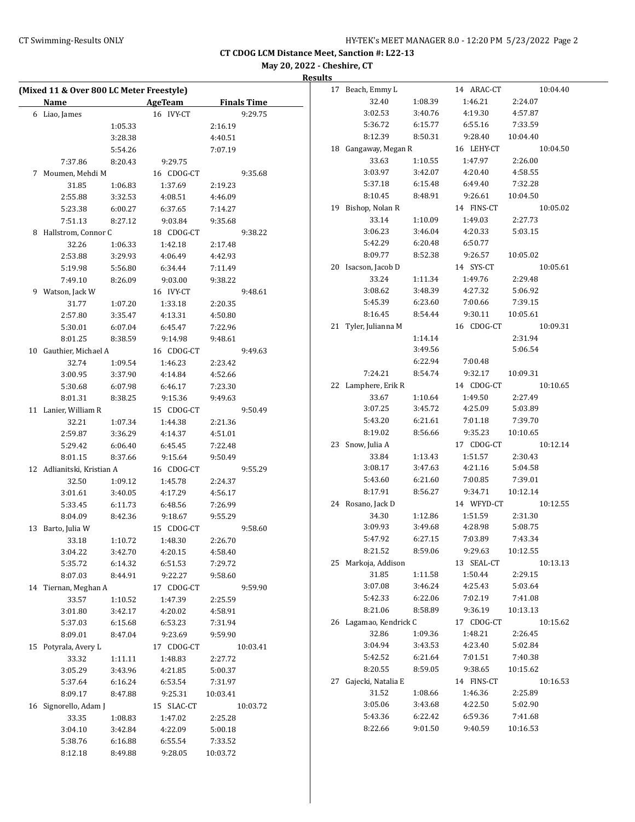# CT Swimming-Results ONLY **CONCER 12:20 PM 5/23/2022** Page 2

**CT CDOG LCM Distance Meet, Sanction #: L22-13**

**May 20, 2022 - Cheshire, CT**

### **Results**

|    | (Mixed 11 & Over 800 LC Meter Freestyle)<br><b>Name</b> |                    | AgeTeam               | <b>Finals Time</b> |
|----|---------------------------------------------------------|--------------------|-----------------------|--------------------|
|    |                                                         |                    |                       |                    |
|    | 6 Liao, James                                           |                    | 16 IVY-CT             | 9:29.75            |
|    |                                                         | 1:05.33            |                       | 2:16.19            |
|    |                                                         | 3:28.38            |                       | 4:40.51            |
|    |                                                         | 5:54.26            |                       | 7:07.19            |
|    | 7:37.86                                                 | 8:20.43            | 9:29.75               |                    |
| 7  | Moumen, Mehdi M                                         |                    | 16 CDOG-CT            | 9:35.68            |
|    | 31.85                                                   | 1:06.83            | 1:37.69               | 2:19.23            |
|    | 2:55.88                                                 | 3:32.53            | 4:08.51               | 4:46.09            |
|    | 5:23.38                                                 | 6:00.27            | 6:37.65               | 7:14.27            |
|    | 7:51.13                                                 | 8:27.12            | 9:03.84<br>18 CDOG-CT | 9:35.68            |
| 8  | Hallstrom, Connor C                                     |                    |                       | 9:38.22            |
|    | 32.26<br>2:53.88                                        | 1:06.33<br>3:29.93 | 1:42.18<br>4:06.49    | 2:17.48<br>4:42.93 |
|    |                                                         |                    |                       |                    |
|    | 5:19.98                                                 | 5:56.80            | 6:34.44               | 7:11.49            |
|    | 7:49.10<br>9 Watson, Jack W                             | 8:26.09            | 9:03.00<br>16 IVY-CT  | 9:38.22<br>9:48.61 |
|    | 31.77                                                   | 1:07.20            | 1:33.18               | 2:20.35            |
|    | 2:57.80                                                 | 3:35.47            | 4:13.31               | 4:50.80            |
|    | 5:30.01                                                 | 6:07.04            | 6:45.47               | 7:22.96            |
|    | 8:01.25                                                 | 8:38.59            | 9:14.98               | 9:48.61            |
| 10 | Gauthier, Michael A                                     |                    | 16 CDOG-CT            | 9:49.63            |
|    | 32.74                                                   | 1:09.54            | 1:46.23               | 2:23.42            |
|    | 3:00.95                                                 | 3:37.90            | 4:14.84               | 4:52.66            |
|    | 5:30.68                                                 | 6:07.98            | 6:46.17               | 7:23.30            |
|    | 8:01.31                                                 | 8:38.25            | 9:15.36               | 9:49.63            |
|    | 11 Lanier, William R                                    |                    | 15 CDOG-CT            | 9:50.49            |
|    | 32.21                                                   | 1:07.34            | 1:44.38               | 2:21.36            |
|    | 2:59.87                                                 | 3:36.29            | 4:14.37               | 4:51.01            |
|    | 5:29.42                                                 | 6:06.40            | 6:45.45               | 7:22.48            |
|    | 8:01.15                                                 | 8:37.66            | 9:15.64               | 9:50.49            |
|    | 12 Adlianitski, Kristian A                              |                    | 16 CDOG-CT            | 9:55.29            |
|    | 32.50                                                   | 1:09.12            | 1:45.78               | 2:24.37            |
|    | 3:01.61                                                 | 3:40.05            | 4:17.29               | 4:56.17            |
|    | 5:33.45                                                 | 6:11.73            | 6:48.56               | 7:26.99            |
|    | 8:04.09                                                 | 8:42.36            | 9:18.67               | 9:55.29            |
| 13 | Barto, Julia W                                          |                    | 15 CDOG-CT            | 9:58.60            |
|    | 33.18                                                   | 1:10.72            | 1:48.30               | 2:26.70            |
|    | 3:04.22                                                 | 3:42.70            | 4:20.15               | 4:58.40            |
|    | 5:35.72                                                 | 6:14.32            | 6:51.53               | 7:29.72            |
|    | 8:07.03                                                 | 8:44.91            | 9:22.27               | 9:58.60            |
| 14 | Tiernan, Meghan A                                       |                    | 17 CDOG-CT            | 9:59.90            |
|    | 33.57                                                   | 1:10.52            | 1:47.39               | 2:25.59            |
|    | 3:01.80                                                 | 3:42.17            | 4:20.02               | 4:58.91            |
|    | 5:37.03                                                 | 6:15.68            | 6:53.23               | 7:31.94            |
|    | 8:09.01                                                 | 8:47.04            | 9:23.69               | 9:59.90            |
| 15 | Potyrala, Avery L                                       |                    | 17 CDOG-CT            | 10:03.41           |
|    | 33.32                                                   | 1:11.11            | 1:48.83               | 2:27.72            |
|    | 3:05.29                                                 | 3:43.96            | 4:21.85               | 5:00.37            |
|    | 5:37.64                                                 | 6:16.24            | 6:53.54               | 7:31.97            |
|    | 8:09.17                                                 | 8:47.88            | 9:25.31               | 10:03.41           |
| 16 | Signorello, Adam J                                      |                    | 15 SLAC-CT            | 10:03.72           |
|    | 33.35                                                   | 1:08.83            | 1:47.02               | 2:25.28            |
|    | 3:04.10                                                 | 3:42.84            | 4:22.09               | 5:00.18            |
|    | 5:38.76                                                 | 6:16.88            | 6:55.54               | 7:33.52            |
|    | 8:12.18                                                 | 8:49.88            | 9:28.05               | 10:03.72           |
|    |                                                         |                    |                       |                    |

| 17 | Beach, Emmy L       |         | 14 ARAC-CT | 10:04.40 |
|----|---------------------|---------|------------|----------|
|    | 32.40               | 1:08.39 | 1:46.21    | 2:24.07  |
|    | 3:02.53             | 3:40.76 | 4:19.30    | 4:57.87  |
|    | 5:36.72             | 6:15.77 | 6:55.16    | 7:33.59  |
|    | 8:12.39             | 8:50.31 | 9:28.40    | 10:04.40 |
| 18 | Gangaway, Megan R   |         | 16 LEHY-CT | 10:04.50 |
|    | 33.63               | 1:10.55 | 1:47.97    | 2:26.00  |
|    | 3:03.97             | 3:42.07 | 4:20.40    | 4:58.55  |
|    | 5:37.18             | 6:15.48 | 6:49.40    | 7:32.28  |
|    | 8:10.45             | 8:48.91 | 9:26.61    | 10:04.50 |
| 19 | Bishop, Nolan R     |         | 14 FINS-CT | 10:05.02 |
|    | 33.14               | 1:10.09 | 1:49.03    | 2:27.73  |
|    | 3:06.23             | 3:46.04 | 4:20.33    | 5:03.15  |
|    | 5:42.29             | 6:20.48 | 6:50.77    |          |
|    | 8:09.77             | 8:52.38 | 9:26.57    | 10:05.02 |
| 20 | Isacson, Jacob D    |         | 14 SYS-CT  | 10:05.61 |
|    | 33.24               | 1:11.34 | 1:49.76    | 2:29.48  |
|    | 3:08.62             | 3:48.39 | 4:27.32    | 5:06.92  |
|    | 5:45.39             | 6:23.60 | 7:00.66    | 7:39.15  |
|    | 8:16.45             | 8:54.44 | 9:30.11    | 10:05.61 |
| 21 | Tyler, Julianna M   |         | 16 CDOG-CT | 10:09.31 |
|    |                     | 1:14.14 |            | 2:31.94  |
|    |                     | 3:49.56 |            | 5:06.54  |
|    |                     | 6:22.94 | 7:00.48    |          |
|    | 7:24.21             | 8:54.74 | 9:32.17    | 10:09.31 |
| 22 | Lamphere, Erik R    |         | 14 CDOG-CT | 10:10.65 |
|    | 33.67               | 1:10.64 | 1:49.50    | 2:27.49  |
|    | 3:07.25             | 3:45.72 | 4:25.09    | 5:03.89  |
|    | 5:43.20             | 6:21.61 | 7:01.18    | 7:39.70  |
|    | 8:19.02             | 8:56.66 | 9:35.23    | 10:10.65 |
| 23 | Snow, Julia A       |         | 17 CDOG-CT | 10:12.14 |
|    | 33.84               | 1:13.43 | 1:51.57    | 2:30.43  |
|    | 3:08.17             | 3:47.63 | 4:21.16    | 5:04.58  |
|    | 5:43.60             | 6:21.60 | 7:00.85    | 7:39.01  |
|    | 8:17.91             | 8:56.27 | 9:34.71    | 10:12.14 |
| 24 | Rosano, Jack D      |         | 14 WFYD-CT | 10:12.55 |
|    | 34.30               | 1:12.86 | 1:51.59    | 2:31.30  |
|    | 3:09.93             | 3:49.68 | 4:28.98    | 5:08.75  |
|    | 5:47.92             | 6:27.15 | 7:03.89    | 7:43.34  |
|    | 8:21.52             | 8:59.06 | 9:29.63    | 10:12.55 |
| 25 | Markoja, Addison    |         | 13 SEAL-CT | 10:13.13 |
|    | 31.85               | 1:11.58 | 1:50.44    | 2:29.15  |
|    | 3:07.08             | 3:46.24 | 4:25.43    | 5:03.64  |
|    | 5:42.33             | 6:22.06 | 7:02.19    | 7:41.08  |
|    | 8:21.06             | 8:58.89 | 9:36.19    | 10:13.13 |
| 26 | Lagamao, Kendrick C |         | 17 CDOG-CT | 10:15.62 |
|    | 32.86               | 1:09.36 | 1:48.21    | 2:26.45  |
|    | 3:04.94             | 3:43.53 | 4:23.40    | 5:02.84  |
|    | 5:42.52             | 6:21.64 | 7:01.51    | 7:40.38  |
|    | 8:20.55             | 8:59.05 | 9:38.65    | 10:15.62 |
| 27 | Gajecki, Natalia E  |         | 14 FINS-CT | 10:16.53 |
|    | 31.52               | 1:08.66 | 1:46.36    | 2:25.89  |
|    | 3:05.06             | 3:43.68 | 4:22.50    | 5:02.90  |
|    | 5:43.36             | 6:22.42 | 6:59.36    | 7:41.68  |
|    | 8:22.66             | 9:01.50 | 9:40.59    | 10:16.53 |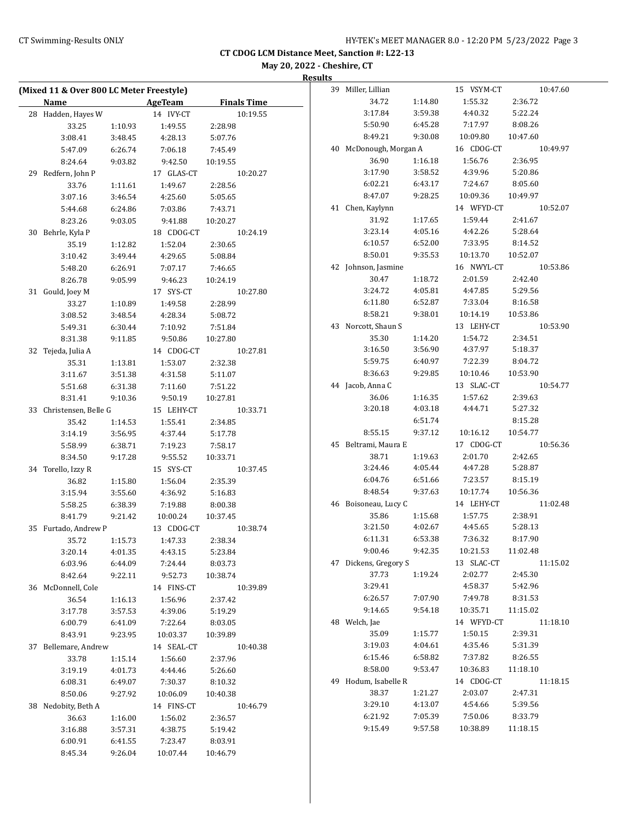# CT Swimming-Results ONLY **CONCER 12:20 PM 5/23/2022** Page 3

**CT CDOG LCM Distance Meet, Sanction #: L22-13**

**May 20, 2022 - Cheshire, CT**

**Results**

|    | (Mixed 11 & Over 800 LC Meter Freestyle) |         |                    |                    |  |  |
|----|------------------------------------------|---------|--------------------|--------------------|--|--|
|    | Name                                     |         | <b>AgeTeam</b>     | <b>Finals Time</b> |  |  |
|    | 28 Hadden, Hayes W                       |         | 14 IVY-CT          | 10:19.55           |  |  |
|    | 33.25                                    | 1:10.93 | 1:49.55            | 2:28.98            |  |  |
|    | 3:08.41                                  | 3:48.45 | 4:28.13            | 5:07.76            |  |  |
|    | 5:47.09                                  | 6:26.74 | 7:06.18            | 7:45.49            |  |  |
|    | 8:24.64                                  | 9:03.82 | 9:42.50            | 10:19.55           |  |  |
|    | 29 Redfern, John P                       |         | 17 GLAS-CT         | 10:20.27           |  |  |
|    | 33.76                                    | 1:11.61 | 1:49.67            | 2:28.56            |  |  |
|    | 3:07.16                                  | 3:46.54 | 4:25.60            | 5:05.65            |  |  |
|    | 5:44.68                                  | 6:24.86 | 7:03.86            | 7:43.71            |  |  |
|    | 8:23.26                                  | 9:03.05 | 9:41.88            | 10:20.27           |  |  |
|    | 30 Behrle, Kyla P                        |         | 18 CDOG-CT         | 10:24.19           |  |  |
|    | 35.19                                    | 1:12.82 | 1:52.04            | 2:30.65            |  |  |
|    | 3:10.42                                  | 3:49.44 | 4:29.65            | 5:08.84            |  |  |
|    | 5:48.20                                  | 6:26.91 | 7:07.17            | 7:46.65            |  |  |
|    | 8:26.78                                  | 9:05.99 | 9:46.23            | 10:24.19           |  |  |
|    |                                          |         |                    |                    |  |  |
|    | 31 Gould, Joey M                         |         | 17 SYS-CT          | 10:27.80           |  |  |
|    | 33.27<br>3:08.52                         | 1:10.89 | 1:49.58<br>4:28.34 | 2:28.99            |  |  |
|    |                                          | 3:48.54 |                    | 5:08.72            |  |  |
|    | 5:49.31                                  | 6:30.44 | 7:10.92            | 7:51.84            |  |  |
|    | 8:31.38                                  | 9:11.85 | 9:50.86            | 10:27.80           |  |  |
| 32 | Tejeda, Julia A                          |         | 14 CDOG-CT         | 10:27.81           |  |  |
|    | 35.31                                    | 1:13.81 | 1:53.07            | 2:32.38            |  |  |
|    | 3:11.67                                  | 3:51.38 | 4:31.58            | 5:11.07            |  |  |
|    | 5:51.68                                  | 6:31.38 | 7:11.60            | 7:51.22            |  |  |
|    | 8:31.41                                  | 9:10.36 | 9:50.19            | 10:27.81           |  |  |
|    | 33 Christensen, Belle G                  |         | 15 LEHY-CT         | 10:33.71           |  |  |
|    | 35.42                                    | 1:14.53 | 1:55.41            | 2:34.85            |  |  |
|    | 3:14.19                                  | 3:56.95 | 4:37.44            | 5:17.78            |  |  |
|    | 5:58.99                                  | 6:38.71 | 7:19.23            | 7:58.17            |  |  |
|    | 8:34.50                                  | 9:17.28 | 9:55.52            | 10:33.71           |  |  |
|    | 34 Torello, Izzy R                       |         | 15 SYS-CT          | 10:37.45           |  |  |
|    | 36.82                                    | 1:15.80 | 1:56.04            | 2:35.39            |  |  |
|    | 3:15.94                                  | 3:55.60 | 4:36.92            | 5:16.83            |  |  |
|    | 5:58.25                                  | 6:38.39 | 7:19.88            | 8:00.38            |  |  |
|    | 8:41.79                                  | 9:21.42 | 10:00.24           | 10:37.45           |  |  |
|    | 35 Furtado, Andrew P                     |         | 13 CDOG-CT         | 10:38.74           |  |  |
|    | 35.72                                    | 1:15.73 | 1:47.33            | 2:38.34            |  |  |
|    | 3:20.14                                  | 4:01.35 | 4:43.15            | 5:23.84            |  |  |
|    | 6:03.96                                  | 6:44.09 | 7:24.44            | 8:03.73            |  |  |
|    | 8:42.64                                  | 9:22.11 | 9:52.73            | 10:38.74           |  |  |
|    | 36 McDonnell, Cole                       |         | 14 FINS-CT         | 10:39.89           |  |  |
|    | 36.54                                    | 1:16.13 | 1:56.96            | 2:37.42            |  |  |
|    | 3:17.78                                  | 3:57.53 | 4:39.06            | 5:19.29            |  |  |
|    | 6:00.79                                  | 6:41.09 | 7:22.64            | 8:03.05            |  |  |
|    | 8:43.91                                  | 9:23.95 | 10:03.37           | 10:39.89           |  |  |
|    | 37 Bellemare, Andrew                     |         | 14 SEAL-CT         | 10:40.38           |  |  |
|    | 33.78                                    | 1:15.14 | 1:56.60            | 2:37.96            |  |  |
|    | 3:19.19                                  | 4:01.73 | 4:44.46            | 5:26.60            |  |  |
|    | 6:08.31                                  | 6:49.07 | 7:30.37            | 8:10.32            |  |  |
|    | 8:50.06                                  | 9:27.92 | 10:06.09           | 10:40.38           |  |  |
|    | 38 Nedobity, Beth A                      |         | 14 FINS-CT         | 10:46.79           |  |  |
|    | 36.63                                    | 1:16.00 | 1:56.02            | 2:36.57            |  |  |
|    | 3:16.88                                  | 3:57.31 | 4:38.75            | 5:19.42            |  |  |
|    | 6:00.91                                  | 6:41.55 | 7:23.47            | 8:03.91            |  |  |
|    | 8:45.34                                  | 9:26.04 | 10:07.44           | 10:46.79           |  |  |
|    |                                          |         |                    |                    |  |  |

| 39 | Miller, Lillian     |         | 15 VSYM-CT | 10:47.60 |
|----|---------------------|---------|------------|----------|
|    | 34.72               | 1:14.80 | 1:55.32    | 2:36.72  |
|    | 3:17.84             | 3:59.38 | 4:40.32    | 5:22.24  |
|    | 5:50.90             | 6:45.28 | 7:17.97    | 8:08.26  |
|    | 8:49.21             | 9:30.08 | 10:09.80   | 10:47.60 |
| 40 | McDonough, Morgan A |         | 16 CDOG-CT | 10:49.97 |
|    | 36.90               | 1:16.18 | 1:56.76    | 2:36.95  |
|    | 3:17.90             | 3:58.52 | 4:39.96    | 5:20.86  |
|    | 6:02.21             | 6:43.17 | 7:24.67    | 8:05.60  |
|    | 8:47.07             | 9:28.25 | 10:09.36   | 10:49.97 |
| 41 | Chen, Kaylynn       |         | 14 WFYD-CT | 10:52.07 |
|    | 31.92               | 1:17.65 | 1:59.44    | 2:41.67  |
|    | 3:23.14             | 4:05.16 | 4:42.26    | 5:28.64  |
|    | 6:10.57             | 6:52.00 | 7:33.95    | 8:14.52  |
|    | 8:50.01             | 9:35.53 | 10:13.70   | 10:52.07 |
| 42 | Johnson, Jasmine    |         | 16 NWYL-CT | 10:53.86 |
|    | 30.47               | 1:18.72 | 2:01.59    | 2:42.40  |
|    | 3:24.72             | 4:05.81 | 4:47.85    | 5:29.56  |
|    | 6:11.80             | 6:52.87 | 7:33.04    | 8:16.58  |
|    | 8:58.21             | 9:38.01 | 10:14.19   | 10:53.86 |
| 43 | Norcott, Shaun S    |         | 13 LEHY-CT | 10:53.90 |
|    | 35.30               | 1:14.20 | 1:54.72    | 2:34.51  |
|    | 3:16.50             | 3:56.90 | 4:37.97    | 5:18.37  |
|    | 5:59.75             | 6:40.97 | 7:22.39    | 8:04.72  |
|    | 8:36.63             | 9:29.85 | 10:10.46   | 10:53.90 |
| 44 | Jacob, Anna C       |         | 13 SLAC-CT | 10:54.77 |
|    | 36.06               | 1:16.35 | 1:57.62    | 2:39.63  |
|    | 3:20.18             | 4:03.18 | 4:44.71    | 5:27.32  |
|    |                     | 6:51.74 |            | 8:15.28  |
|    | 8:55.15             | 9:37.12 | 10:16.12   | 10:54.77 |
| 45 | Beltrami, Maura E   |         | 17 CDOG-CT | 10:56.36 |
|    | 38.71               | 1:19.63 | 2:01.70    | 2:42.65  |
|    | 3:24.46             | 4:05.44 | 4:47.28    | 5:28.87  |
|    | 6:04.76             | 6:51.66 | 7:23.57    | 8:15.19  |
|    | 8:48.54             | 9:37.63 | 10:17.74   | 10:56.36 |
| 46 | Boisoneau, Lucy C   |         |            |          |
|    |                     |         | 14 LEHY-CT | 11:02.48 |
|    | 35.86               | 1:15.68 | 1:57.75    | 2:38.91  |
|    | 3:21.50             | 4:02.67 | 4:45.65    | 5:28.13  |
|    | 6:11.31             | 6:53.38 | 7:36.32    | 8:17.90  |
|    | 9:00.46             | 9:42.35 | 10:21.53   | 11:02.48 |
| 47 | Dickens, Gregory S  |         | 13 SLAC-CT | 11:15.02 |
|    | 37.73               | 1:19.24 | 2:02.77    | 2:45.30  |
|    | 3:29.41             |         | 4:58.37    | 5:42.96  |
|    | 6:26.57             | 7:07.90 | 7:49.78    | 8:31.53  |
|    | 9:14.65             | 9:54.18 | 10:35.71   | 11:15.02 |
| 48 | Welch, Jae          |         | 14 WFYD-CT | 11:18.10 |
|    | 35.09               | 1:15.77 | 1:50.15    | 2:39.31  |
|    | 3:19.03             | 4:04.61 | 4:35.46    | 5:31.39  |
|    | 6:15.46             | 6:58.82 | 7:37.82    | 8:26.55  |
|    | 8:58.00             | 9:53.47 | 10:36.83   | 11:18.10 |
| 49 | Hodum, Isabelle R   |         | 14 CDOG-CT | 11:18.15 |
|    | 38.37               | 1:21.27 | 2:03.07    | 2:47.31  |
|    | 3:29.10             | 4:13.07 | 4:54.66    | 5:39.56  |
|    | 6:21.92             | 7:05.39 | 7:50.06    | 8:33.79  |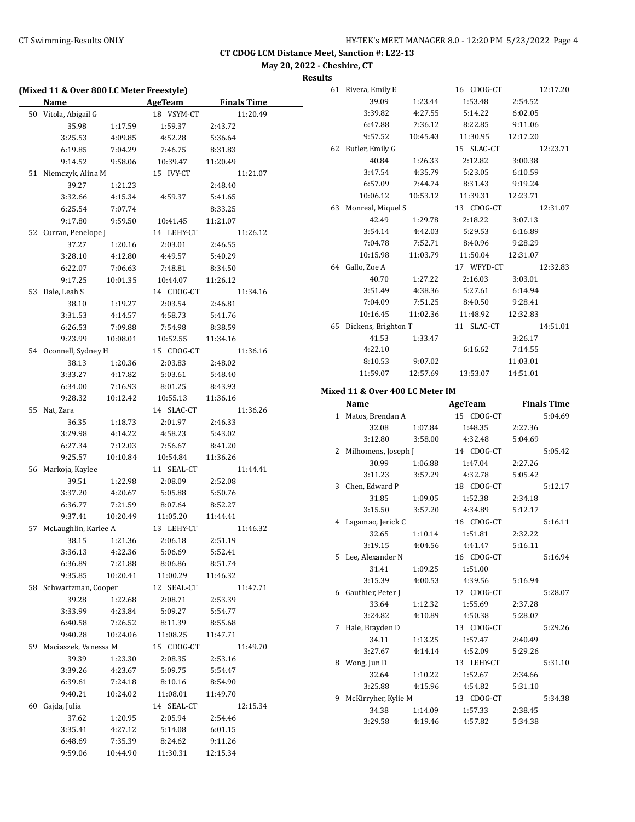**CT CDOG LCM Distance Meet, Sanction #: L22-13**

**May 20, 2022 - Cheshire, CT**

**Results**

| (Mixed 11 & Over 800 LC Meter Freestyle) |                         |          |                          |                    |  |
|------------------------------------------|-------------------------|----------|--------------------------|--------------------|--|
|                                          | Name                    |          | <b>Example 2 AgeTeam</b> | <b>Finals Time</b> |  |
|                                          | 50 Vitola, Abigail G    |          | 18 VSYM-CT               | 11:20.49           |  |
|                                          | 35.98                   | 1:17.59  | 1:59.37                  | 2:43.72            |  |
|                                          | 3:25.53                 | 4:09.85  | 4:52.28                  | 5:36.64            |  |
|                                          | 6:19.85                 | 7:04.29  | 7:46.75                  | 8:31.83            |  |
|                                          | 9:14.52                 | 9:58.06  | 10:39.47                 | 11:20.49           |  |
|                                          | 51 Niemczyk, Alina M    |          | 15 IVY-CT                | 11:21.07           |  |
|                                          | 39.27                   | 1:21.23  |                          | 2:48.40            |  |
|                                          | 3:32.66                 | 4:15.34  | 4:59.37                  | 5:41.65            |  |
|                                          | 6:25.54                 | 7:07.74  |                          | 8:33.25            |  |
|                                          | 9:17.80                 | 9:59.50  | 10:41.45                 | 11:21.07           |  |
|                                          | 52 Curran, Penelope J   |          | 14 LEHY-CT               | 11:26.12           |  |
|                                          | 37.27                   | 1:20.16  | 2:03.01                  | 2:46.55            |  |
|                                          | 3:28.10                 | 4:12.80  | 4:49.57                  | 5:40.29            |  |
|                                          | 6:22.07                 | 7:06.63  | 7:48.81                  | 8:34.50            |  |
|                                          | 9:17.25                 | 10:01.35 | 10:44.07                 | 11:26.12           |  |
|                                          | 53 Dale, Leah S         |          | 14 CDOG-CT               | 11:34.16           |  |
|                                          | 38.10                   | 1:19.27  | 2:03.54                  | 2:46.81            |  |
|                                          | 3:31.53                 | 4:14.57  | 4:58.73                  | 5:41.76            |  |
|                                          | 6:26.53                 | 7:09.88  | 7:54.98                  | 8:38.59            |  |
|                                          | 9:23.99                 | 10:08.01 | 10:52.55 11:34.16        |                    |  |
|                                          | 54 Oconnell, Sydney H   |          | 15 CDOG-CT               | 11:36.16           |  |
|                                          | 38.13                   | 1:20.36  | 2:03.83                  | 2:48.02            |  |
|                                          | 3:33.27                 | 4:17.82  | 5:03.61                  | 5:48.40            |  |
|                                          | 6:34.00                 | 7:16.93  | 8:01.25                  | 8:43.93            |  |
|                                          | 9:28.32                 | 10:12.42 | 10:55.13                 | 11:36.16           |  |
|                                          | 55 Nat, Zara            |          | 14 SLAC-CT               | 11:36.26           |  |
|                                          | 36.35                   | 1:18.73  | 2:01.97                  | 2:46.33            |  |
|                                          | 3:29.98                 | 4:14.22  | 4:58.23                  | 5:43.02            |  |
|                                          | 6:27.34                 | 7:12.03  | 7:56.67                  | 8:41.20            |  |
|                                          | 9:25.57                 | 10:10.84 | 10:54.84                 | 11:36.26           |  |
|                                          | 56 Markoja, Kaylee      |          | 11 SEAL-CT               | 11:44.41           |  |
|                                          | 39.51                   | 1:22.98  | 2:08.09                  | 2:52.08            |  |
|                                          | 3:37.20                 | 4:20.67  | 5:05.88                  | 5:50.76            |  |
|                                          | 6:36.77                 | 7:21.59  | 8:07.64                  | 8:52.27            |  |
|                                          | 9:37.41                 | 10:20.49 | 11:05.20                 | 11:44.41           |  |
| 57                                       | McLaughlin, Karlee A    |          | 13 LEHY-CT               | 11:46.32           |  |
|                                          | 38.15                   | 1:21.36  | 2:06.18                  | 2:51.19            |  |
|                                          | 3:36.13                 | 4:22.36  | 5:06.69                  | 5:52.41            |  |
|                                          | 6:36.89                 | 7:21.88  | 8:06.86                  | 8:51.74            |  |
|                                          | 9:35.85                 | 10:20.41 | 11:00.29                 | 11:46.32           |  |
|                                          | 58 Schwartzman, Cooper  |          | 12 SEAL-CT               | 11:47.71           |  |
|                                          | 39.28                   | 1:22.68  | 2:08.71                  | 2:53.39            |  |
|                                          | 3:33.99                 | 4:23.84  | 5:09.27                  | 5:54.77            |  |
|                                          | 6:40.58                 | 7:26.52  | 8:11.39                  | 8:55.68            |  |
|                                          | 9:40.28                 | 10:24.06 | 11:08.25                 | 11:47.71           |  |
|                                          | 59 Maciaszek, Vanessa M |          | 15 CDOG-CT               | 11:49.70           |  |
|                                          | 39.39                   | 1:23.30  | 2:08.35                  | 2:53.16            |  |
|                                          | 3:39.26                 | 4:23.67  | 5:09.75                  | 5:54.47            |  |
|                                          | 6:39.61                 | 7:24.18  | 8:10.16                  | 8:54.90            |  |
|                                          | 9:40.21                 | 10:24.02 | 11:08.01                 | 11:49.70           |  |
| 60                                       | Gajda, Julia            |          | 14 SEAL-CT               | 12:15.34           |  |
|                                          | 37.62                   | 1:20.95  | 2:05.94                  | 2:54.46            |  |
|                                          | 3:35.41                 | 4:27.12  | 5:14.08                  | 6:01.15            |  |
|                                          | 6:48.69                 | 7:35.39  | 8:24.62                  | 9:11.26            |  |
|                                          | 9:59.06                 | 10:44.90 | 11:30.31                 | 12:15.34           |  |
|                                          |                         |          |                          |                    |  |

| 61 | Rivera, Emily E     |          | 16 CDOG-CT | 12:17.20 |
|----|---------------------|----------|------------|----------|
|    | 39.09               | 1:23.44  | 1:53.48    | 2:54.52  |
|    | 3:39.82             | 4:27.55  | 5:14.22    | 6:02.05  |
|    | 6:47.88             | 7:36.12  | 8:22.85    | 9:11.06  |
|    | 9:57.52             | 10:45.43 | 11:30.95   | 12:17.20 |
| 62 | Butler, Emily G     |          | 15 SLAC-CT | 12:23.71 |
|    | 40.84               | 1:26.33  | 2:12.82    | 3:00.38  |
|    | 3:47.54             | 4:35.79  | 5:23.05    | 6:10.59  |
|    | 6:57.09             | 7:44.74  | 8:31.43    | 9:19.24  |
|    | 10:06.12            | 10:53.12 | 11:39.31   | 12:23.71 |
| 63 | Monreal, Miquel S   |          | 13 CDOG-CT | 12:31.07 |
|    | 42.49               | 1:29.78  | 2:18.22    | 3:07.13  |
|    | 3:54.14             | 4:42.03  | 5:29.53    | 6:16.89  |
|    | 7:04.78             | 7:52.71  | 8:40.96    | 9:28.29  |
|    | 10:15.98            | 11:03.79 | 11:50.04   | 12:31.07 |
| 64 | Gallo, Zoe A        |          | 17 WFYD-CT | 12:32.83 |
|    | 40.70               | 1:27.22  | 2:16.03    | 3:03.01  |
|    | 3:51.49             | 4:38.36  | 5:27.61    | 6:14.94  |
|    | 7:04.09             | 7:51.25  | 8:40.50    | 9:28.41  |
|    | 10:16.45            | 11:02.36 | 11:48.92   | 12:32.83 |
| 65 | Dickens, Brighton T |          | 11 SLAC-CT | 14:51.01 |
|    | 41.53               | 1:33.47  |            | 3:26.17  |
|    | 4:22.10             |          | 6:16.62    | 7:14.55  |
|    | 8:10.53             | 9:07.02  |            | 11:03.01 |
|    | 11:59.07            | 12:57.69 | 13:53.07   | 14:51.01 |

## **Mixed 11 & Over 400 LC Meter IM**

|   | Name                             |         | AgeTeam                 | <b>Finals Time</b> |
|---|----------------------------------|---------|-------------------------|--------------------|
|   | 1 Matos, Brendan A               |         | 15 CDOG-CT              | 5:04.69            |
|   | 32.08                            | 1:07.84 | 1:48.35                 | 2:27.36            |
|   | 3:12.80 3:58.00                  |         | 4:32.48                 | 5:04.69            |
|   | 2 Milhomens, Joseph J 14 CDOG-CT |         |                         | 5:05.42            |
|   | 30.99                            | 1:06.88 | 1:47.04                 | 2:27.26            |
|   | 3:11.23                          |         | 3:57.29 4:32.78         | 5:05.42            |
|   | 3 Chen, Edward P                 |         | 18 CDOG-CT              | 5:12.17            |
|   | 31.85                            | 1:09.05 | 1:52.38                 | 2:34.18            |
|   | 3:15.50                          |         | 3:57.20 4:34.89         | 5:12.17            |
|   | 4 Lagamao, Jerick C              |         | 16 CDOG-CT              | 5:16.11            |
|   | 32.65                            | 1:10.14 | 1:51.81                 | 2:32.22            |
|   | 3:19.15                          |         | 4:04.56 4:41.47         | 5:16.11            |
|   | 5 Lee, Alexander N               |         | 16 CDOG-CT              | 5:16.94            |
|   | 31.41                            | 1:09.25 | 1:51.00                 |                    |
|   | 3:15.39                          |         | 4:00.53 4:39.56 5:16.94 |                    |
|   | 6 Gauthier, Peter J              |         | 17 CDOG-CT              | 5:28.07            |
|   | 33.64                            | 1:12.32 | 1:55.69                 | 2:37.28            |
|   | 3:24.82                          |         | 4:10.89 4:50.38         | 5:28.07            |
| 7 | Hale, Brayden D                  |         | 13 CDOG-CT              | 5:29.26            |
|   | 34.11                            | 1:13.25 | 1:57.47                 | 2:40.49            |
|   | 3:27.67                          |         | 4:14.14 4:52.09         | 5:29.26            |
|   | 8 Wong, Jun D                    |         | 13 LEHY-CT              | 5:31.10            |
|   | 32.64                            | 1:10.22 | 1:52.67                 | 2:34.66            |
|   | 3:25.88                          |         | 4:15.96 4:54.82         | 5:31.10            |
|   | 9 McKirryher, Kylie M 13 CDOG-CT |         |                         | 5:34.38            |
|   | 34.38                            | 1:14.09 | 1:57.33                 | 2:38.45            |
|   | 3:29.58                          | 4:19.46 | 4:57.82                 | 5:34.38            |